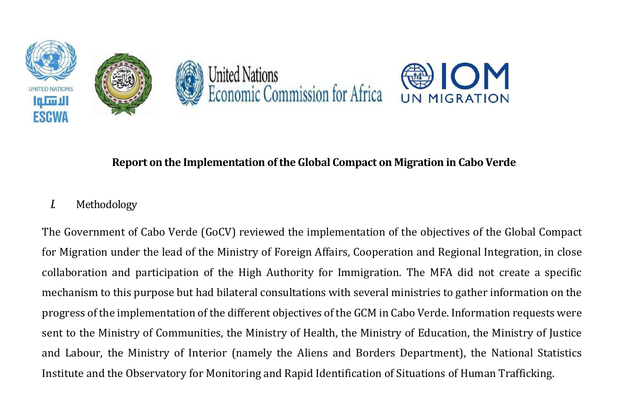

# OM

# **Report on the Implementation of the Global Compact on Migration in Cabo Verde**

# *I.* Methodology

The Government of Cabo Verde (GoCV) reviewed the implementation of the objectives of the Global Compact for Migration under the lead of the Ministry of Foreign Affairs, Cooperation and Regional Integration, in close collaboration and participation of the High Authority for Immigration. The MFA did not create a specific mechanism to this purpose but had bilateral consultations with several ministries to gather information on the progress of the implementation of the different objectives of the GCM in Cabo Verde. Information requests were sent to the Ministry of Communities, the Ministry of Health, the Ministry of Education, the Ministry of Justice and Labour, the Ministry of Interior (namely the Aliens and Borders Department), the National Statistics Institute and the Observatory for Monitoring and Rapid Identification of Situations of Human Trafficking.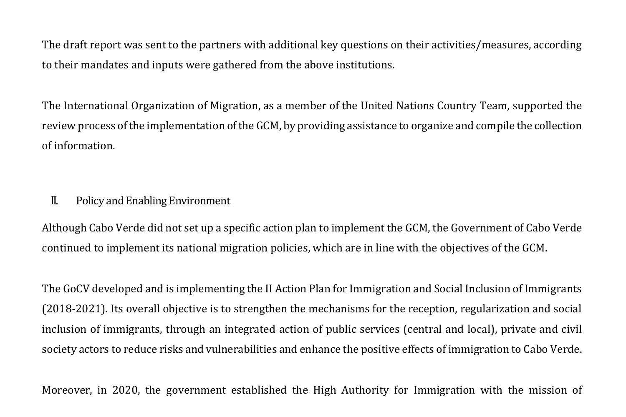The draft report was sent to the partners with additional key questions on their activities/measures, according to their mandates and inputs were gathered from the above institutions.

The International Organization of Migration, as a member of the United Nations Country Team, supported the review process of the implementation of the GCM, by providing assistance to organize and compile the collection of information.

# II. Policy and Enabling Environment

Although Cabo Verde did not set up a specific action plan to implement the GCM, the Government of Cabo Verde continued to implement its national migration policies, which are in line with the objectives of the GCM.

The GoCV developed and is implementing the II Action Plan for Immigration and Social Inclusion of Immigrants (2018-2021). Its overall objective is to strengthen the mechanisms for the reception, regularization and social inclusion of immigrants, through an integrated action of public services (central and local), private and civil society actors to reduce risks and vulnerabilities and enhance the positive effects of immigration to Cabo Verde.

Moreover, in 2020, the government established the High Authority for Immigration with the mission of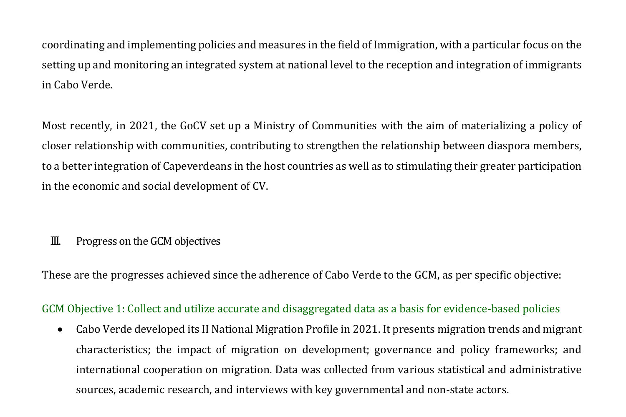coordinating and implementing policies and measures in the field of Immigration, with a particular focus on the setting up and monitoring an integrated system at national level to the reception and integration of immigrants in Cabo Verde.

Most recently, in 2021, the GoCV set up a Ministry of Communities with the aim of materializing a policy of closer relationship with communities, contributing to strengthen the relationship between diaspora members, to a better integration of Capeverdeans in the host countries as well as to stimulating their greater participation in the economic and social development of CV.

# III. Progress on the GCM objectives

These are the progresses achieved since the adherence of Cabo Verde to the GCM, as per specific objective:

## GCM Objective 1: Collect and utilize accurate and disaggregated data as a basis for evidence-based policies

• Cabo Verde developed its II National Migration Profile in 2021. It presents migration trends and migrant characteristics; the impact of migration on development; governance and policy frameworks; and international cooperation on migration. Data was collected from various statistical and administrative sources, academic research, and interviews with key governmental and non-state actors.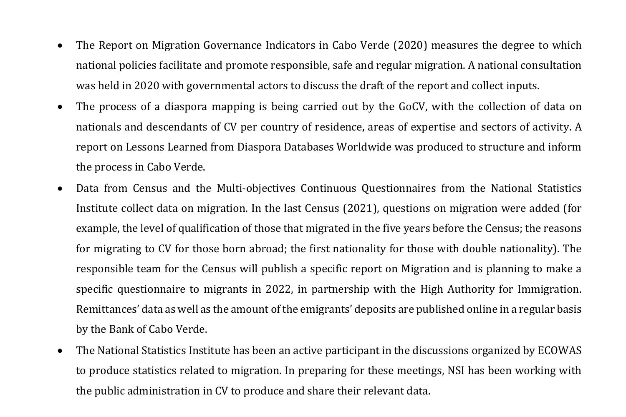- The Report on Migration Governance Indicators in Cabo Verde (2020) measures the degree to which national policies facilitate and promote responsible, safe and regular migration. A national consultation was held in 2020 with governmental actors to discuss the draft of the report and collect inputs.
- The process of a diaspora mapping is being carried out by the GoCV, with the collection of data on nationals and descendants of CV per country of residence, areas of expertise and sectors of activity. A report on Lessons Learned from Diaspora Databases Worldwide was produced to structure and inform the process in Cabo Verde.
- Data from Census and the Multi-objectives Continuous Questionnaires from the National Statistics Institute collect data on migration. In the last Census (2021), questions on migration were added (for example, the level of qualification of those that migrated in the five years before the Census; the reasons for migrating to CV for those born abroad; the first nationality for those with double nationality). The responsible team for the Census will publish a specific report on Migration and is planning to make a specific questionnaire to migrants in 2022, in partnership with the High Authority for Immigration. Remittances' data as well as the amount of the emigrants' deposits are published online in a regular basis by the Bank of Cabo Verde.
- The National Statistics Institute has been an active participant in the discussions organized by ECOWAS to produce statistics related to migration. In preparing for these meetings, NSI has been working with the public administration in CV to produce and share their relevant data.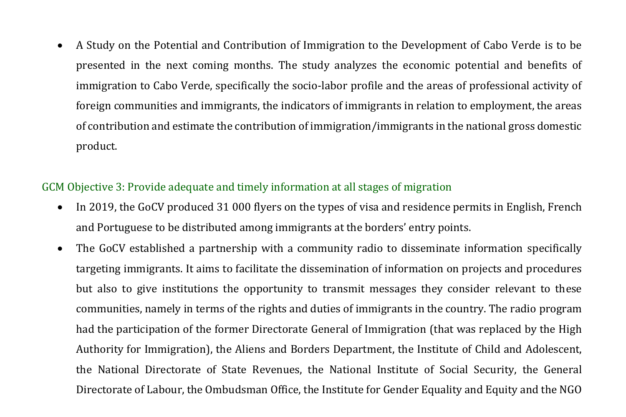• A Study on the Potential and Contribution of Immigration to the Development of Cabo Verde is to be presented in the next coming months. The study analyzes the economic potential and benefits of immigration to Cabo Verde, specifically the socio-labor profile and the areas of professional activity of foreign communities and immigrants, the indicators of immigrants in relation to employment, the areas of contribution and estimate the contribution of immigration/immigrants in the national gross domestic product.

## GCM Objective 3: Provide adequate and timely information at all stages of migration

- In 2019, the GoCV produced 31 000 flyers on the types of visa and residence permits in English, French and Portuguese to be distributed among immigrants at the borders' entry points.
- The GoCV established a partnership with a community radio to disseminate information specifically targeting immigrants. It aims to facilitate the dissemination of information on projects and procedures but also to give institutions the opportunity to transmit messages they consider relevant to these communities, namely in terms of the rights and duties of immigrants in the country. The radio program had the participation of the former Directorate General of Immigration (that was replaced by the High Authority for Immigration), the Aliens and Borders Department, the Institute of Child and Adolescent, the National Directorate of State Revenues, the National Institute of Social Security, the General Directorate of Labour, the Ombudsman Office, the Institute for Gender Equality and Equity and the NGO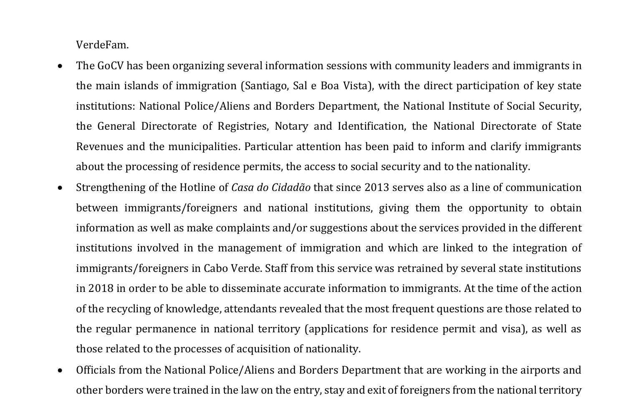VerdeFam.

- The GoCV has been organizing several information sessions with community leaders and immigrants in the main islands of immigration (Santiago, Sal e Boa Vista), with the direct participation of key state institutions: National Police/Aliens and Borders Department, the National Institute of Social Security, the General Directorate of Registries, Notary and Identification, the National Directorate of State Revenues and the municipalities. Particular attention has been paid to inform and clarify immigrants about the processing of residence permits, the access to social security and to the nationality.
- Strengthening of the Hotline of *Casa do Cidadão* that since 2013 serves also as a line of communication between immigrants/foreigners and national institutions, giving them the opportunity to obtain information as well as make complaints and/or suggestions about the services provided in the different institutions involved in the management of immigration and which are linked to the integration of immigrants/foreigners in Cabo Verde. Staff from this service was retrained by several state institutions in 2018 in order to be able to disseminate accurate information to immigrants. At the time of the action of the recycling of knowledge, attendants revealed that the most frequent questions are those related to the regular permanence in national territory (applications for residence permit and visa), as well as those related to the processes of acquisition of nationality.
- Officials from the National Police/Aliens and Borders Department that are working in the airports and other borders were trained in the law on the entry, stay and exit of foreigners from the national territory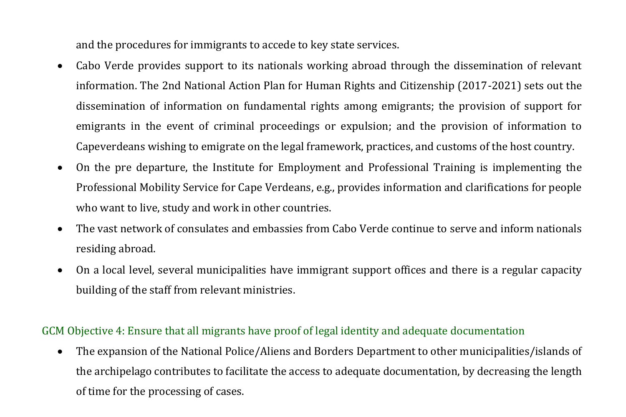and the procedures for immigrants to accede to key state services.

- Cabo Verde provides support to its nationals working abroad through the dissemination of relevant information. The 2nd National Action Plan for Human Rights and Citizenship (2017-2021) sets out the dissemination of information on fundamental rights among emigrants; the provision of support for emigrants in the event of criminal proceedings or expulsion; and the provision of information to Capeverdeans wishing to emigrate on the legal framework, practices, and customs of the host country.
- On the pre departure, the Institute for Employment and Professional Training is implementing the Professional Mobility Service for Cape Verdeans, e.g., provides information and clarifications for people who want to live, study and work in other countries.
- The vast network of consulates and embassies from Cabo Verde continue to serve and inform nationals residing abroad.
- On a local level, several municipalities have immigrant support offices and there is a regular capacity building of the staff from relevant ministries.

## GCM Objective 4: Ensure that all migrants have proof of legal identity and adequate documentation

• The expansion of the National Police/Aliens and Borders Department to other municipalities/islands of the archipelago contributes to facilitate the access to adequate documentation, by decreasing the length of time for the processing of cases.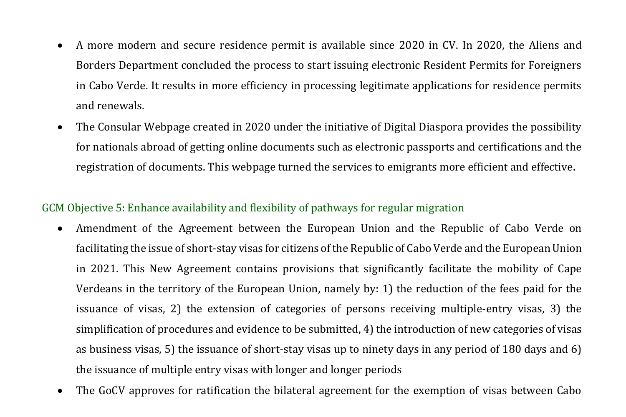- A more modern and secure residence permit is available since 2020 in CV. In 2020, the Aliens and Borders Department concluded the process to start issuing electronic Resident Permits for Foreigners in Cabo Verde. It results in more efficiency in processing legitimate applications for residence permits and renewals.
- The Consular Webpage created in 2020 under the initiative of Digital Diaspora provides the possibility for nationals abroad of getting online documents such as electronic passports and certifications and the registration of documents. This webpage turned the services to emigrants more efficient and effective.

## GCM Objective 5: Enhance availability and flexibility of pathways for regular migration

- Amendment of the Agreement between the European Union and the Republic of Cabo Verde on facilitating the issue of short-stay visas for citizens of the Republic of Cabo Verde and the European Union in 2021. This New Agreement contains provisions that significantly facilitate the mobility of Cape Verdeans in the territory of the European Union, namely by: 1) the reduction of the fees paid for the issuance of visas, 2) the extension of categories of persons receiving multiple-entry visas, 3) the simplification of procedures and evidence to be submitted, 4) the introduction of new categories of visas as business visas, 5) the issuance of short-stay visas up to ninety days in any period of 180 days and 6) the issuance of multiple entry visas with longer and longer periods
- The GoCV approves for ratification the bilateral agreement for the exemption of visas between Cabo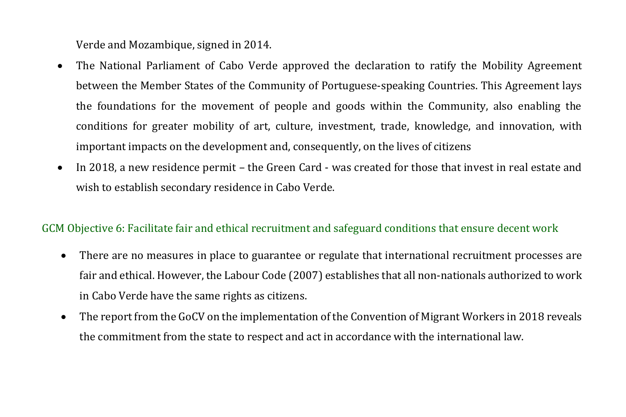Verde and Mozambique, signed in 2014.

- The National Parliament of Cabo Verde approved the declaration to ratify the Mobility Agreement between the Member States of the Community of Portuguese-speaking Countries. This Agreement lays the foundations for the movement of people and goods within the Community, also enabling the conditions for greater mobility of art, culture, investment, trade, knowledge, and innovation, with important impacts on the development and, consequently, on the lives of citizens
- In 2018, a new residence permit the Green Card was created for those that invest in real estate and wish to establish secondary residence in Cabo Verde.

#### GCM Objective 6: Facilitate fair and ethical recruitment and safeguard conditions that ensure decent work

- There are no measures in place to guarantee or regulate that international recruitment processes are fair and ethical. However, the Labour Code (2007) establishes that all non-nationals authorized to work in Cabo Verde have the same rights as citizens.
- The report from the GoCV on the implementation of the Convention of Migrant Workers in 2018 reveals the commitment from the state to respect and act in accordance with the international law.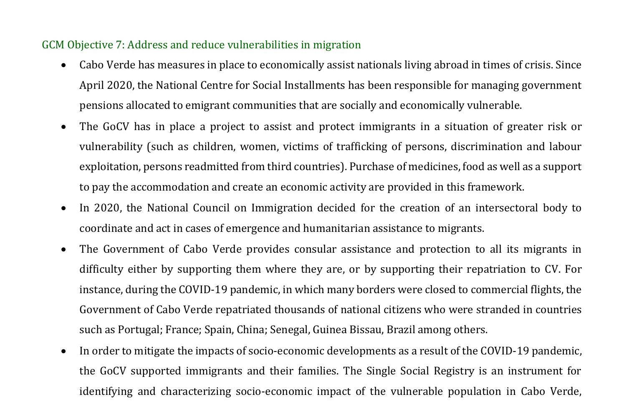## GCM Objective 7: Address and reduce vulnerabilities in migration

- Cabo Verde has measures in place to economically assist nationals living abroad in times of crisis. Since April 2020, the National Centre for Social Installments has been responsible for managing government pensions allocated to emigrant communities that are socially and economically vulnerable.
- The GoCV has in place a project to assist and protect immigrants in a situation of greater risk or vulnerability (such as children, women, victims of trafficking of persons, discrimination and labour exploitation, persons readmitted from third countries). Purchase of medicines, food as well as a support to pay the accommodation and create an economic activity are provided in this framework.
- In 2020, the National Council on Immigration decided for the creation of an intersectoral body to coordinate and act in cases of emergence and humanitarian assistance to migrants.
- The Government of Cabo Verde provides consular assistance and protection to all its migrants in difficulty either by supporting them where they are, or by supporting their repatriation to CV. For instance, during the COVID-19 pandemic, in which many borders were closed to commercial flights, the Government of Cabo Verde repatriated thousands of national citizens who were stranded in countries such as Portugal; France; Spain, China; Senegal, Guinea Bissau, Brazil among others.
- In order to mitigate the impacts of socio-economic developments as a result of the COVID-19 pandemic, the GoCV supported immigrants and their families. The Single Social Registry is an instrument for identifying and characterizing socio-economic impact of the vulnerable population in Cabo Verde,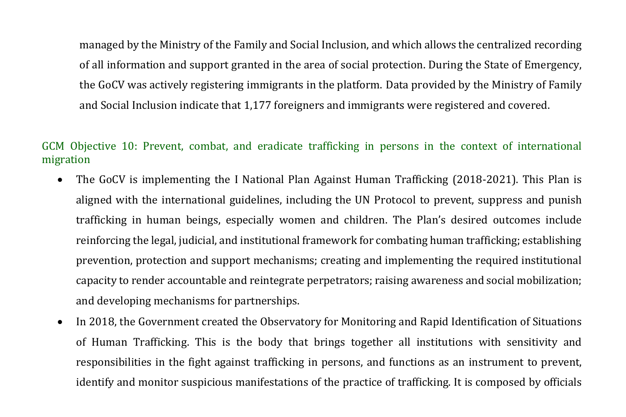managed by the Ministry of the Family and Social Inclusion, and which allows the centralized recording of all information and support granted in the area of social protection. During the State of Emergency, the GoCV was actively registering immigrants in the platform. Data provided by the Ministry of Family and Social Inclusion indicate that 1,177 foreigners and immigrants were registered and covered.

## GCM Objective 10: Prevent, combat, and eradicate trafficking in persons in the context of international migration

- The GoCV is implementing the I National Plan Against Human Trafficking (2018-2021). This Plan is aligned with the international guidelines, including the UN Protocol to prevent, suppress and punish trafficking in human beings, especially women and children. The Plan's desired outcomes include reinforcing the legal, judicial, and institutional framework for combating human trafficking; establishing prevention, protection and support mechanisms; creating and implementing the required institutional capacity to render accountable and reintegrate perpetrators; raising awareness and social mobilization; and developing mechanisms for partnerships.
- In 2018, the Government created the Observatory for Monitoring and Rapid Identification of Situations of Human Trafficking. This is the body that brings together all institutions with sensitivity and responsibilities in the fight against trafficking in persons, and functions as an instrument to prevent, identify and monitor suspicious manifestations of the practice of trafficking. It is composed by officials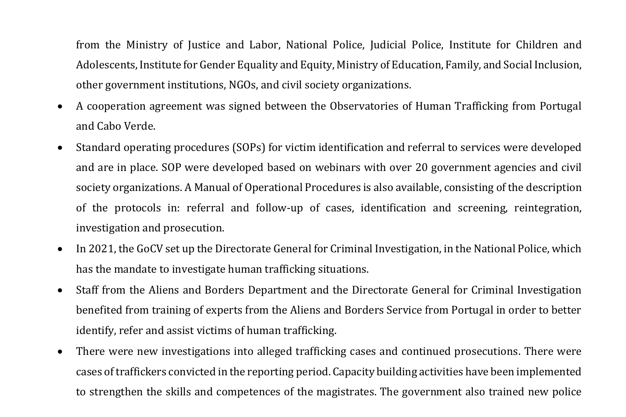from the Ministry of Justice and Labor, National Police, Judicial Police, Institute for Children and Adolescents, Institute for Gender Equality and Equity, Ministry of Education, Family, and Social Inclusion, other government institutions, NGOs, and civil society organizations.

- A cooperation agreement was signed between the Observatories of Human Trafficking from Portugal and Cabo Verde.
- Standard operating procedures (SOPs) for victim identification and referral to services were developed and are in place. SOP were developed based on webinars with over 20 government agencies and civil society organizations. A Manual of Operational Procedures is also available, consisting of the description of the protocols in: referral and follow-up of cases, identification and screening, reintegration, investigation and prosecution.
- In 2021, the GoCV set up the Directorate General for Criminal Investigation, in the National Police, which has the mandate to investigate human trafficking situations.
- Staff from the Aliens and Borders Department and the Directorate General for Criminal Investigation benefited from training of experts from the Aliens and Borders Service from Portugal in order to better identify, refer and assist victims of human trafficking.
- There were new investigations into alleged trafficking cases and continued prosecutions. There were cases of traffickers convicted in the reporting period. Capacity building activities have been implemented to strengthen the skills and competences of the magistrates. The government also trained new police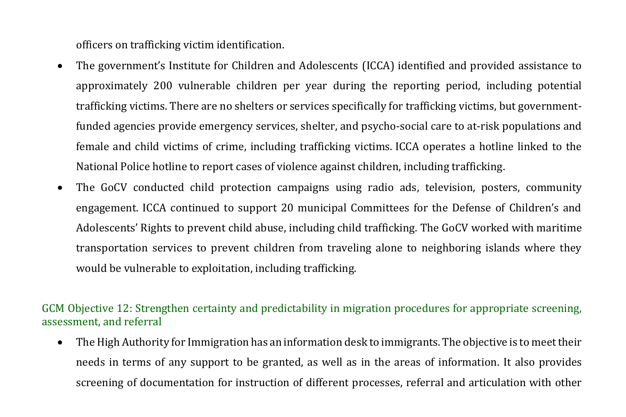officers on trafficking victim identification.

- The government's Institute for Children and Adolescents (ICCA) identified and provided assistance to approximately 200 vulnerable children per year during the reporting period, including potential trafficking victims. There are no shelters or services specifically for trafficking victims, but governmentfunded agencies provide emergency services, shelter, and psycho-social care to at-risk populations and female and child victims of crime, including trafficking victims. ICCA operates a hotline linked to the National Police hotline to report cases of violence against children, including trafficking.
- The GoCV conducted child protection campaigns using radio ads, television, posters, community engagement. ICCA continued to support 20 municipal Committees for the Defense of Children's and Adolescents' Rights to prevent child abuse, including child trafficking. The GoCV worked with maritime transportation services to prevent children from traveling alone to neighboring islands where they would be vulnerable to exploitation, including trafficking.

## GCM Objective 12: Strengthen certainty and predictability in migration procedures for appropriate screening, assessment, and referral

• The High Authority for Immigration has an information desk to immigrants. The objective is to meet their needs in terms of any support to be granted, as well as in the areas of information. It also provides screening of documentation for instruction of different processes, referral and articulation with other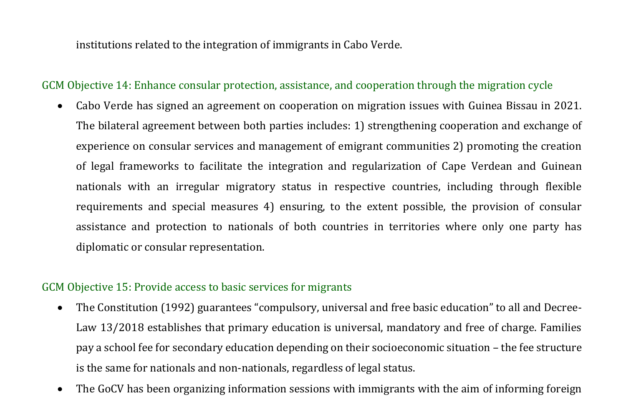institutions related to the integration of immigrants in Cabo Verde.

#### GCM Objective 14: Enhance consular protection, assistance, and cooperation through the migration cycle

• Cabo Verde has signed an agreement on cooperation on migration issues with Guinea Bissau in 2021. The bilateral agreement between both parties includes: 1) strengthening cooperation and exchange of experience on consular services and management of emigrant communities 2) promoting the creation of legal frameworks to facilitate the integration and regularization of Cape Verdean and Guinean nationals with an irregular migratory status in respective countries, including through flexible requirements and special measures 4) ensuring, to the extent possible, the provision of consular assistance and protection to nationals of both countries in territories where only one party has diplomatic or consular representation.

## GCM Objective 15: Provide access to basic services for migrants

- The Constitution (1992) guarantees "compulsory, universal and free basic education" to all and Decree-Law 13/2018 establishes that primary education is universal, mandatory and free of charge. Families pay a school fee for secondary education depending on their socioeconomic situation – the fee structure is the same for nationals and non-nationals, regardless of legal status.
- The GoCV has been organizing information sessions with immigrants with the aim of informing foreign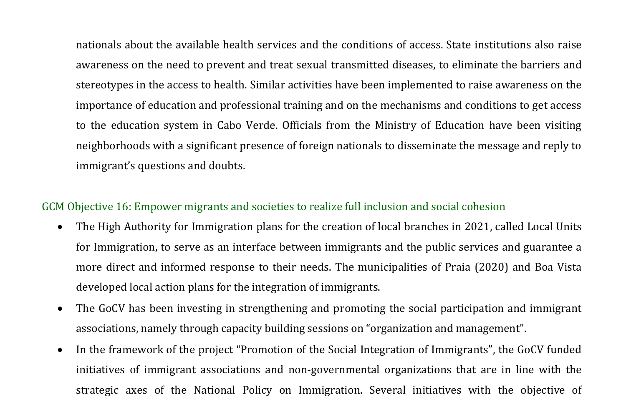nationals about the available health services and the conditions of access. State institutions also raise awareness on the need to prevent and treat sexual transmitted diseases, to eliminate the barriers and stereotypes in the access to health. Similar activities have been implemented to raise awareness on the importance of education and professional training and on the mechanisms and conditions to get access to the education system in Cabo Verde. Officials from the Ministry of Education have been visiting neighborhoods with a significant presence of foreign nationals to disseminate the message and reply to immigrant's questions and doubts.

## GCM Objective 16: Empower migrants and societies to realize full inclusion and social cohesion

- The High Authority for Immigration plans for the creation of local branches in 2021, called Local Units for Immigration, to serve as an interface between immigrants and the public services and guarantee a more direct and informed response to their needs. The municipalities of Praia (2020) and Boa Vista developed local action plans for the integration of immigrants.
- The GoCV has been investing in strengthening and promoting the social participation and immigrant associations, namely through capacity building sessions on "organization and management".
- In the framework of the project "Promotion of the Social Integration of Immigrants", the GoCV funded initiatives of immigrant associations and non-governmental organizations that are in line with the strategic axes of the National Policy on Immigration. Several initiatives with the objective of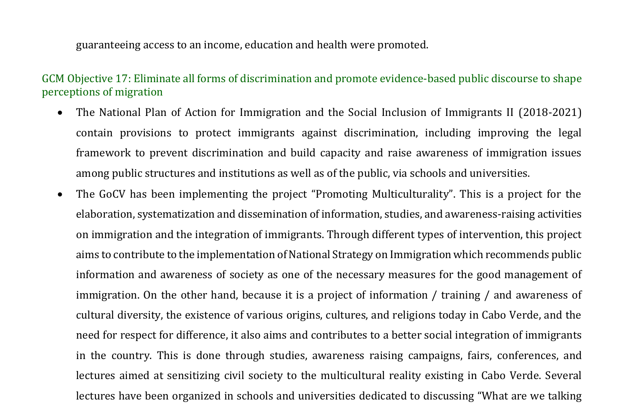guaranteeing access to an income, education and health were promoted.

GCM Objective 17: Eliminate all forms of discrimination and promote evidence-based public discourse to shape perceptions of migration

- The National Plan of Action for Immigration and the Social Inclusion of Immigrants II (2018-2021) contain provisions to protect immigrants against discrimination, including improving the legal framework to prevent discrimination and build capacity and raise awareness of immigration issues among public structures and institutions as well as of the public, via schools and universities.
- The GoCV has been implementing the project "Promoting Multiculturality". This is a project for the elaboration, systematization and dissemination of information, studies, and awareness-raising activities on immigration and the integration of immigrants. Through different types of intervention, this project aims to contribute to the implementation of National Strategy on Immigration which recommends public information and awareness of society as one of the necessary measures for the good management of immigration. On the other hand, because it is a project of information / training / and awareness of cultural diversity, the existence of various origins, cultures, and religions today in Cabo Verde, and the need for respect for difference, it also aims and contributes to a better social integration of immigrants in the country. This is done through studies, awareness raising campaigns, fairs, conferences, and lectures aimed at sensitizing civil society to the multicultural reality existing in Cabo Verde. Several lectures have been organized in schools and universities dedicated to discussing "What are we talking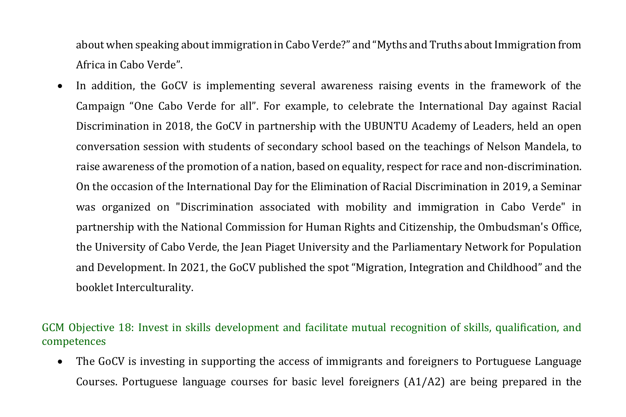about when speaking about immigration in Cabo Verde?" and "Myths and Truths about Immigration from Africa in Cabo Verde".

In addition, the GoCV is implementing several awareness raising events in the framework of the Campaign "One Cabo Verde for all". For example, to celebrate the International Day against Racial Discrimination in 2018, the GoCV in partnership with the UBUNTU Academy of Leaders, held an open conversation session with students of secondary school based on the teachings of Nelson Mandela, to raise awareness of the promotion of a nation, based on equality, respect for race and non-discrimination. On the occasion of the International Day for the Elimination of Racial Discrimination in 2019, a Seminar was organized on "Discrimination associated with mobility and immigration in Cabo Verde" in partnership with the National Commission for Human Rights and Citizenship, the Ombudsman's Office, the University of Cabo Verde, the Jean Piaget University and the Parliamentary Network for Population and Development. In 2021, the GoCV published the spot "Migration, Integration and Childhood" and the booklet Interculturality.

GCM Objective 18: Invest in skills development and facilitate mutual recognition of skills, qualification, and competences

• The GoCV is investing in supporting the access of immigrants and foreigners to Portuguese Language Courses. Portuguese language courses for basic level foreigners (A1/A2) are being prepared in the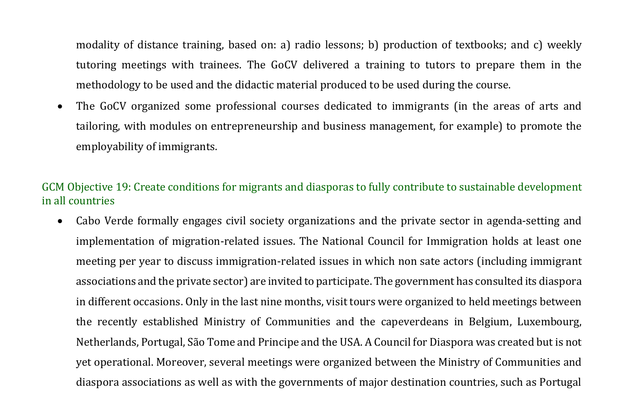modality of distance training, based on: a) radio lessons; b) production of textbooks; and c) weekly tutoring meetings with trainees. The GoCV delivered a training to tutors to prepare them in the methodology to be used and the didactic material produced to be used during the course.

• The GoCV organized some professional courses dedicated to immigrants (in the areas of arts and tailoring, with modules on entrepreneurship and business management, for example) to promote the employability of immigrants.

## GCM Objective 19: Create conditions for migrants and diasporas to fully contribute to sustainable development in all countries

• Cabo Verde formally engages civil society organizations and the private sector in agenda-setting and implementation of migration-related issues. The National Council for Immigration holds at least one meeting per year to discuss immigration-related issues in which non sate actors (including immigrant associations and the private sector) are invited to participate. The government has consulted its diaspora in different occasions. Only in the last nine months, visit tours were organized to held meetings between the recently established Ministry of Communities and the capeverdeans in Belgium, Luxembourg, Netherlands, Portugal, São Tome and Principe and the USA. A Council for Diaspora was created but is not yet operational. Moreover, several meetings were organized between the Ministry of Communities and diaspora associations as well as with the governments of major destination countries, such as Portugal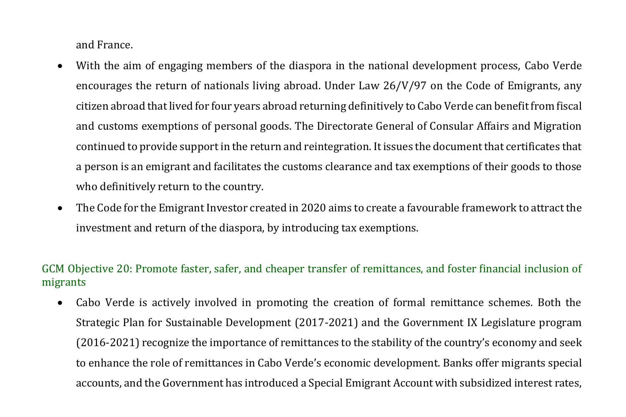and France.

- With the aim of engaging members of the diaspora in the national development process, Cabo Verde encourages the return of nationals living abroad. Under Law 26/V/97 on the Code of Emigrants, any citizen abroad that lived for four years abroad returning definitively to Cabo Verde can benefit from fiscal and customs exemptions of personal goods. The Directorate General of Consular Affairs and Migration continued to provide support in the return and reintegration. It issues the document that certificates that a person is an emigrant and facilitates the customs clearance and tax exemptions of their goods to those who definitively return to the country.
- The Code for the Emigrant Investor created in 2020 aims to create a favourable framework to attract the investment and return of the diaspora, by introducing tax exemptions.

# GCM Objective 20: Promote faster, safer, and cheaper transfer of remittances, and foster financial inclusion of migrants

• Cabo Verde is actively involved in promoting the creation of formal remittance schemes. Both the Strategic Plan for Sustainable Development (2017-2021) and the Government IX Legislature program (2016-2021) recognize the importance of remittances to the stability of the country's economy and seek to enhance the role of remittances in Cabo Verde's economic development. Banks offer migrants special accounts, and the Government has introduced a Special Emigrant Account with subsidized interest rates,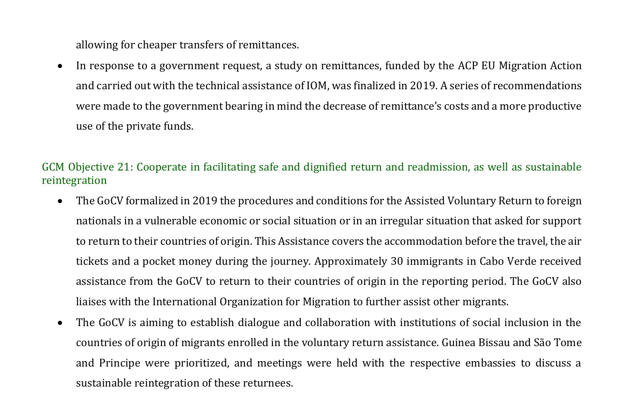allowing for cheaper transfers of remittances.

• In response to a government request, a study on remittances, funded by the ACP EU Migration Action and carried out with the technical assistance of IOM, was finalized in 2019. A series of recommendations were made to the government bearing in mind the decrease of remittance's costs and a more productive use of the private funds.

## GCM Objective 21: Cooperate in facilitating safe and dignified return and readmission, as well as sustainable reintegration

- The GoCV formalized in 2019 the procedures and conditions for the Assisted Voluntary Return to foreign nationals in a vulnerable economic or social situation or in an irregular situation that asked for support to return to their countries of origin. This Assistance covers the accommodation before the travel, the air tickets and a pocket money during the journey. Approximately 30 immigrants in Cabo Verde received assistance from the GoCV to return to their countries of origin in the reporting period. The GoCV also liaises with the International Organization for Migration to further assist other migrants.
- The GoCV is aiming to establish dialogue and collaboration with institutions of social inclusion in the countries of origin of migrants enrolled in the voluntary return assistance. Guinea Bissau and São Tome and Principe were prioritized, and meetings were held with the respective embassies to discuss a sustainable reintegration of these returnees.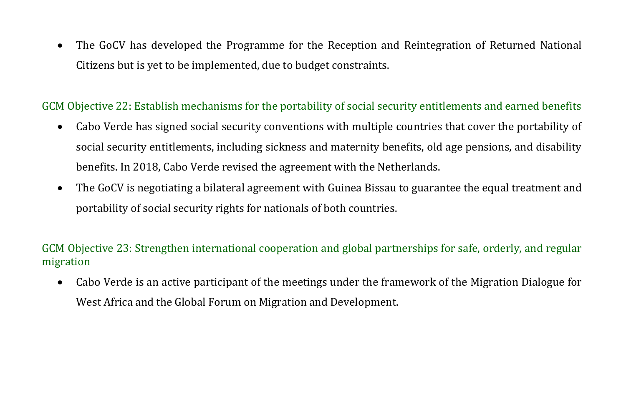• The GoCV has developed the Programme for the Reception and Reintegration of Returned National Citizens but is yet to be implemented, due to budget constraints.

# GCM Objective 22: Establish mechanisms for the portability of social security entitlements and earned benefits

- Cabo Verde has signed social security conventions with multiple countries that cover the portability of social security entitlements, including sickness and maternity benefits, old age pensions, and disability benefits. In 2018, Cabo Verde revised the agreement with the Netherlands.
- The GoCV is negotiating a bilateral agreement with Guinea Bissau to guarantee the equal treatment and portability of social security rights for nationals of both countries.

# GCM Objective 23: Strengthen international cooperation and global partnerships for safe, orderly, and regular migration

• Cabo Verde is an active participant of the meetings under the framework of the Migration Dialogue for West Africa and the Global Forum on Migration and Development.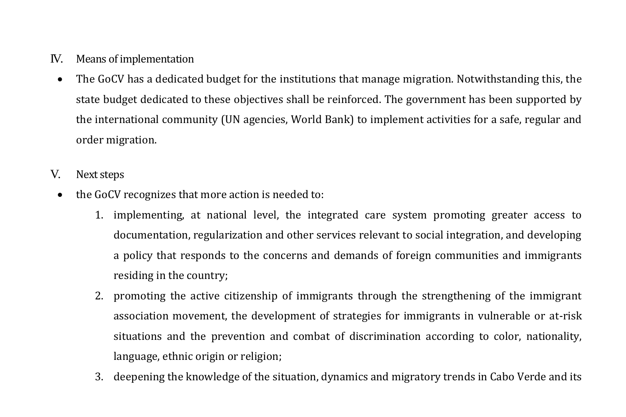- IV. Means of implementation
	- The GoCV has a dedicated budget for the institutions that manage migration. Notwithstanding this, the state budget dedicated to these objectives shall be reinforced. The government has been supported by the international community (UN agencies, World Bank) to implement activities for a safe, regular and order migration.
- V. Next steps
	- the GoCV recognizes that more action is needed to:
		- 1. implementing, at national level, the integrated care system promoting greater access to documentation, regularization and other services relevant to social integration, and developing a policy that responds to the concerns and demands of foreign communities and immigrants residing in the country;
		- 2. promoting the active citizenship of immigrants through the strengthening of the immigrant association movement, the development of strategies for immigrants in vulnerable or at-risk situations and the prevention and combat of discrimination according to color, nationality, language, ethnic origin or religion;
		- 3. deepening the knowledge of the situation, dynamics and migratory trends in Cabo Verde and its